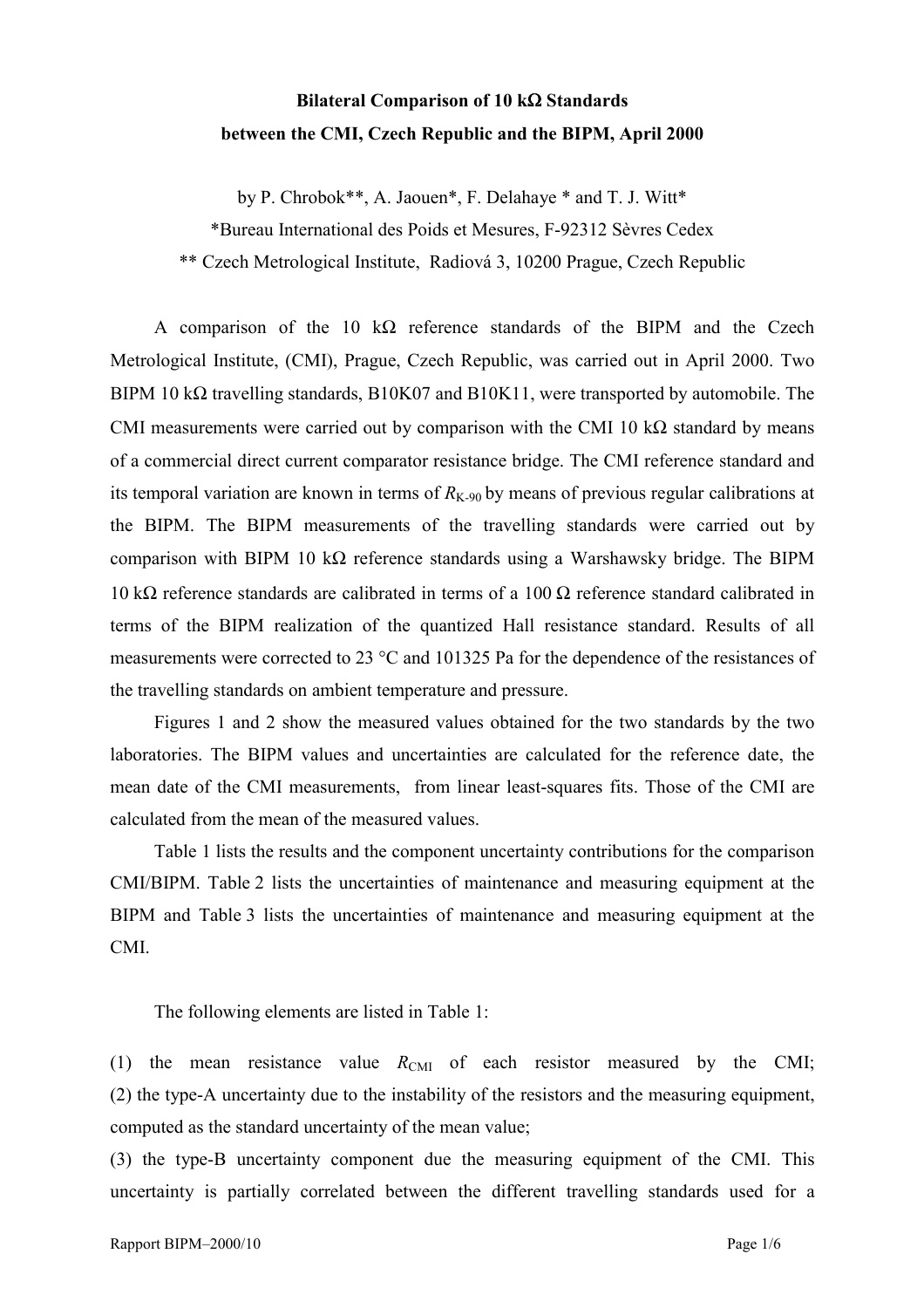## **Bilateral Comparison of 10 k**Ω **Standards between the CMI, Czech Republic and the BIPM, April 2000**

by P. Chrobok\*\*, A. Jaouen\*, F. Delahaye \* and T. J. Witt\*

\*Bureau International des Poids et Mesures, F-92312 Sèvres Cedex

\*\* Czech Metrological Institute, Radiová 3, 10200 Prague, Czech Republic

A comparison of the 10 kΩ reference standards of the BIPM and the Czech Metrological Institute, (CMI), Prague, Czech Republic, was carried out in April 2000. Two BIPM 10 kΩ travelling standards, B10K07 and B10K11, were transported by automobile. The CMI measurements were carried out by comparison with the CMI 10 k $\Omega$  standard by means of a commercial direct current comparator resistance bridge. The CMI reference standard and its temporal variation are known in terms of  $R_{K-90}$  by means of previous regular calibrations at the BIPM. The BIPM measurements of the travelling standards were carried out by comparison with BIPM 10 k $\Omega$  reference standards using a Warshawsky bridge. The BIPM 10 kΩ reference standards are calibrated in terms of a 100 Ω reference standard calibrated in terms of the BIPM realization of the quantized Hall resistance standard. Results of all measurements were corrected to 23 °C and 101325 Pa for the dependence of the resistances of the travelling standards on ambient temperature and pressure.

Figures 1 and 2 show the measured values obtained for the two standards by the two laboratories. The BIPM values and uncertainties are calculated for the reference date, the mean date of the CMI measurements, from linear least-squares fits. Those of the CMI are calculated from the mean of the measured values.

Table 1 lists the results and the component uncertainty contributions for the comparison CMI/BIPM. Table 2 lists the uncertainties of maintenance and measuring equipment at the BIPM and Table 3 lists the uncertainties of maintenance and measuring equipment at the CMI.

The following elements are listed in Table 1:

(1) the mean resistance value  $R_{\text{CMI}}$  of each resistor measured by the CMI; (2) the type-A uncertainty due to the instability of the resistors and the measuring equipment, computed as the standard uncertainty of the mean value;

(3) the type-B uncertainty component due the measuring equipment of the CMI. This uncertainty is partially correlated between the different travelling standards used for a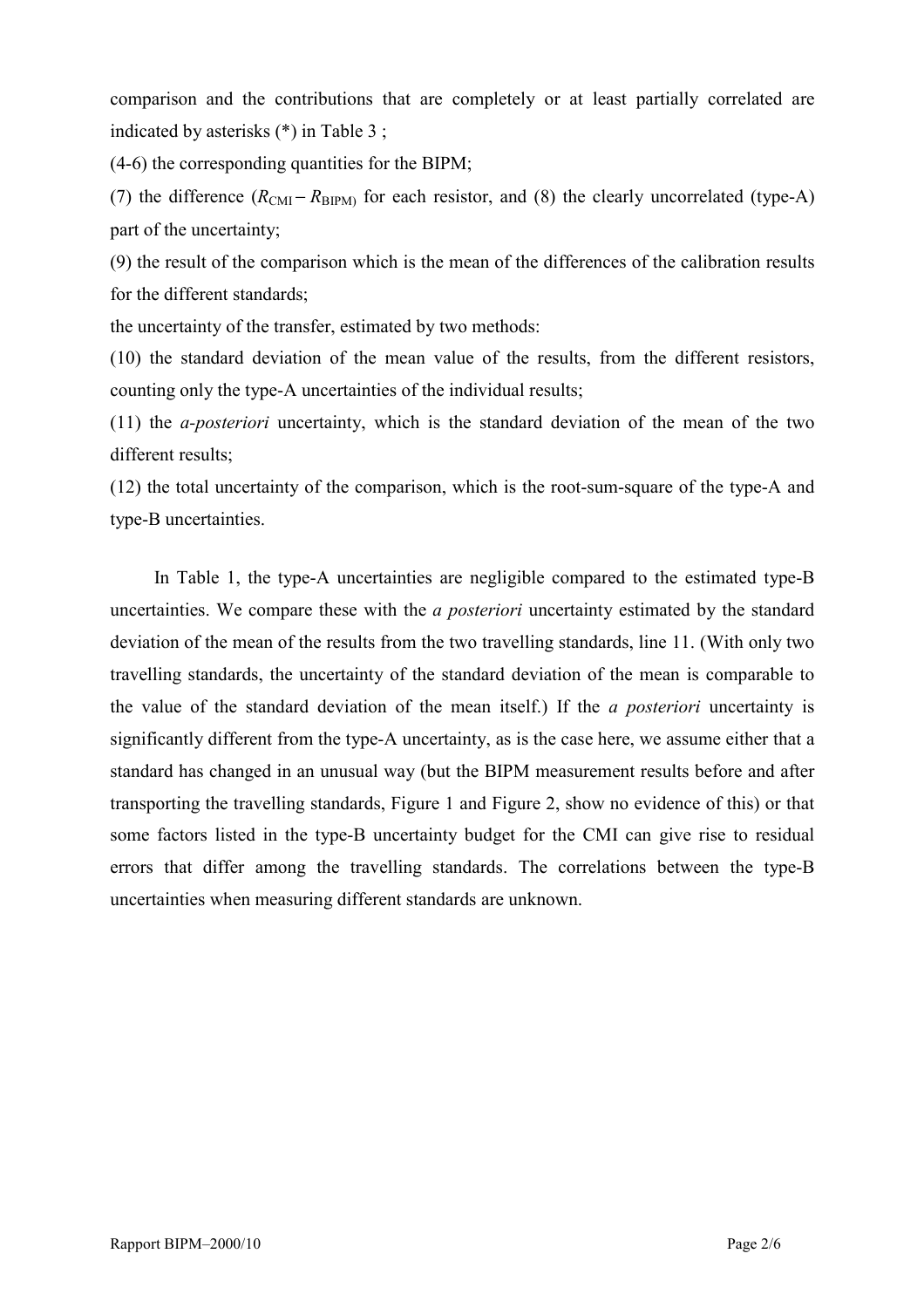comparison and the contributions that are completely or at least partially correlated are indicated by asterisks (\*) in Table 3 ;

(4-6) the corresponding quantities for the BIPM;

(7) the difference  $(R_{\text{CMI}} - R_{\text{BIPM}})$  for each resistor, and (8) the clearly uncorrelated (type-A) part of the uncertainty;

(9) the result of the comparison which is the mean of the differences of the calibration results for the different standards;

the uncertainty of the transfer, estimated by two methods:

(10) the standard deviation of the mean value of the results, from the different resistors, counting only the type-A uncertainties of the individual results;

(11) the *a-posteriori* uncertainty, which is the standard deviation of the mean of the two different results;

(12) the total uncertainty of the comparison, which is the root-sum-square of the type-A and type-B uncertainties.

In Table 1, the type-A uncertainties are negligible compared to the estimated type-B uncertainties. We compare these with the *a posteriori* uncertainty estimated by the standard deviation of the mean of the results from the two travelling standards, line 11. (With only two travelling standards, the uncertainty of the standard deviation of the mean is comparable to the value of the standard deviation of the mean itself.) If the *a posteriori* uncertainty is significantly different from the type-A uncertainty, as is the case here, we assume either that a standard has changed in an unusual way (but the BIPM measurement results before and after transporting the travelling standards, Figure 1 and Figure 2, show no evidence of this) or that some factors listed in the type-B uncertainty budget for the CMI can give rise to residual errors that differ among the travelling standards. The correlations between the type-B uncertainties when measuring different standards are unknown.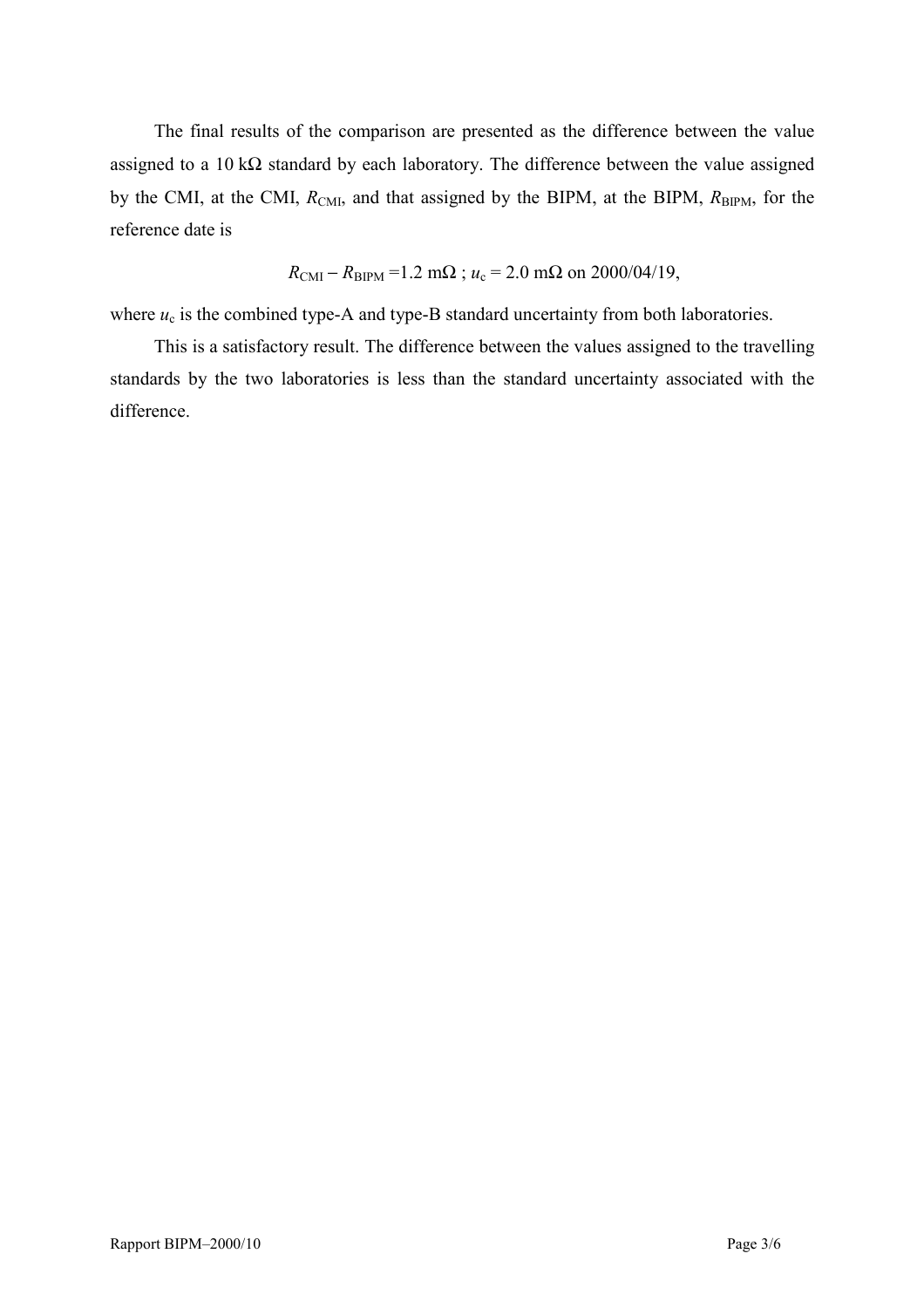The final results of the comparison are presented as the difference between the value assigned to a 10 k $\Omega$  standard by each laboratory. The difference between the value assigned by the CMI, at the CMI,  $R_{\text{CMI}}$ , and that assigned by the BIPM, at the BIPM,  $R_{\text{BIPM}}$ , for the reference date is

 $R_{\text{CMI}} - R_{\text{BIPM}} = 1.2 \text{ m}\Omega$ ;  $u_c = 2.0 \text{ m}\Omega$  on 2000/04/19,

where  $u_c$  is the combined type-A and type-B standard uncertainty from both laboratories.

This is a satisfactory result. The difference between the values assigned to the travelling standards by the two laboratories is less than the standard uncertainty associated with the difference.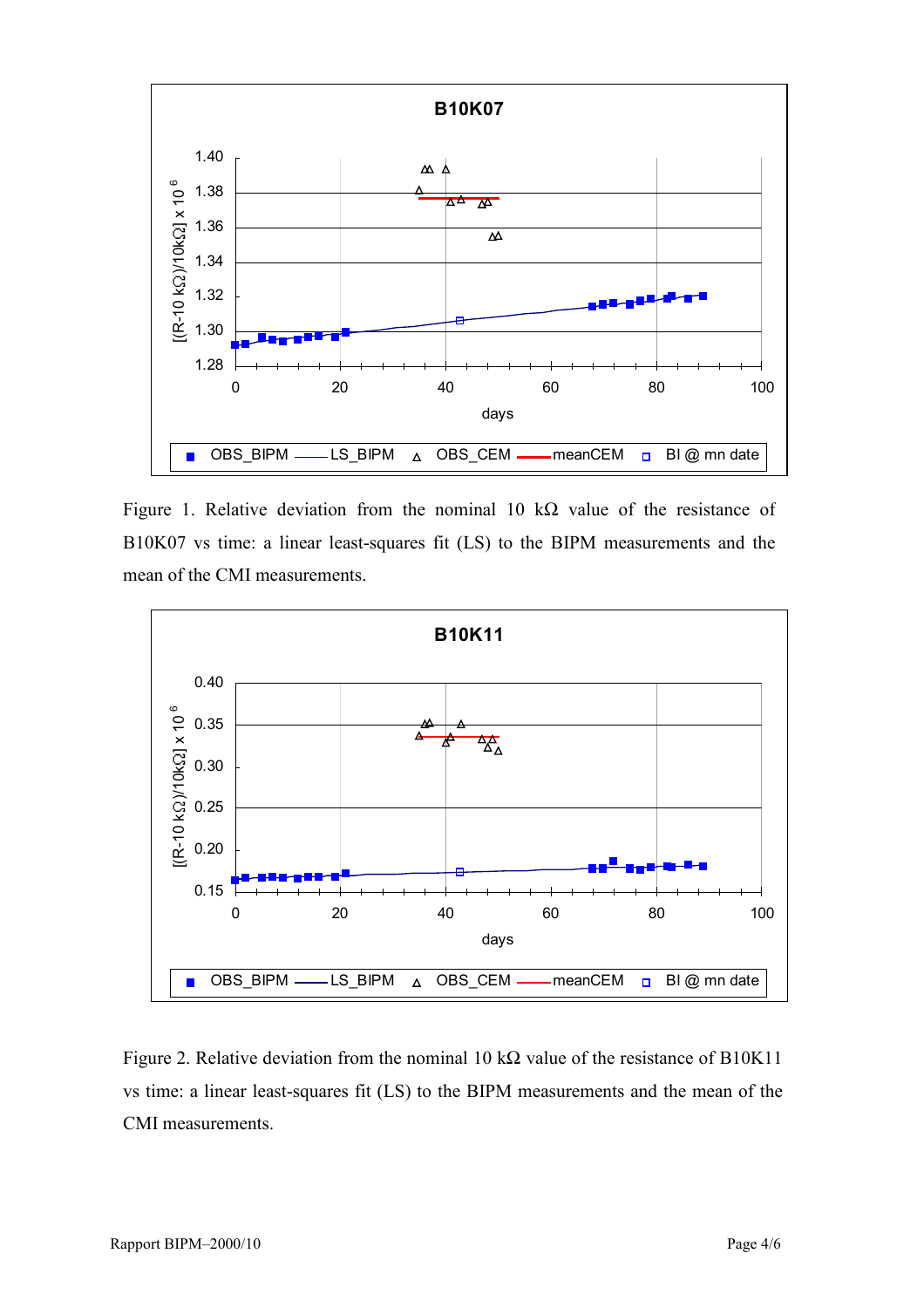

Figure 1. Relative deviation from the nominal 10 k $\Omega$  value of the resistance of B10K07 vs time: a linear least-squares fit (LS) to the BIPM measurements and the mean of the CMI measurements.



Figure 2. Relative deviation from the nominal 10 k $\Omega$  value of the resistance of B10K11 vs time: a linear least-squares fit (LS) to the BIPM measurements and the mean of the CMI measurements.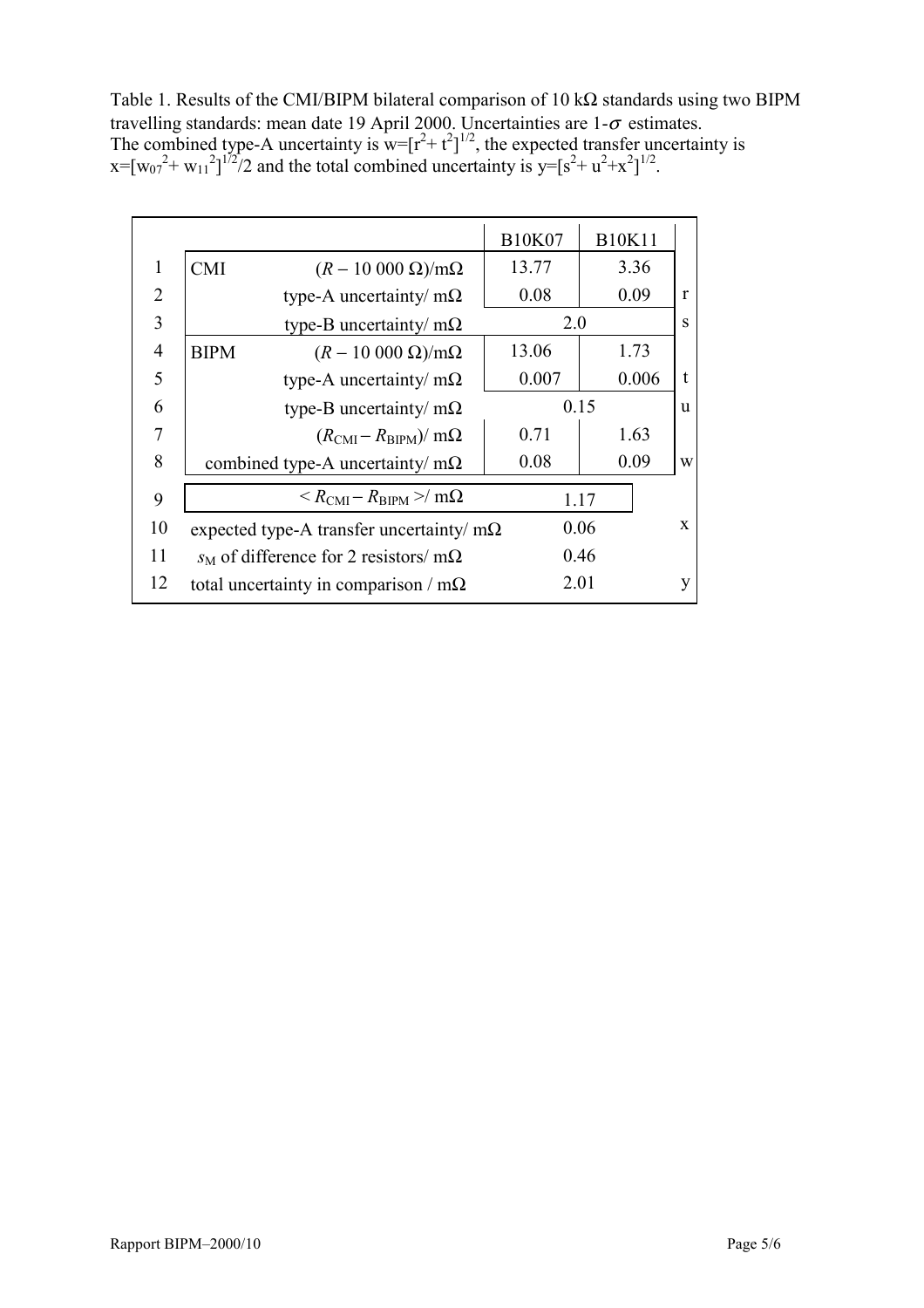Table 1. Results of the CMI/BIPM bilateral comparison of 10 kΩ standards using two BIPM travelling standards: mean date 19 April 2000. Uncertainties are  $1-\sigma$  estimates. The combined type-A uncertainty is  $w=[r^2+t^2]^{1/2}$ , the expected transfer uncertainty is  $x=[w_{07}^2+ w_{11}^2]^{1/2}/2$  and the total combined uncertainty is  $y=[s^2+ u^2+x^2]^{1/2}$ .

|                                                               | <b>B10K07</b> | <b>B10K11</b>        |              |
|---------------------------------------------------------------|---------------|----------------------|--------------|
| <b>CMI</b><br>$(R-10\ 000\ \Omega)/m\Omega$                   | 13.77         | 3.36                 |              |
| type-A uncertainty/ $m\Omega$                                 | 0.08          | 0.09                 | $\mathbf{r}$ |
| type-B uncertainty/ $m\Omega$                                 |               | 2.0<br>S             |              |
| <b>BIPM</b><br>$(R-10\,000\,\Omega)/m\Omega$                  | 13.06         | 1.73                 |              |
| type-A uncertainty/ $m\Omega$                                 | 0.007         | 0.006                | $\mathbf{t}$ |
| type-B uncertainty/ $m\Omega$                                 |               | 0.15<br><sub>u</sub> |              |
| $(R_{\rm CMI} - R_{\rm BIPM})/$ m $\Omega$                    | 0.71          | 1.63                 |              |
| combined type-A uncertainty/ $m\Omega$                        | 0.08          | 0.09                 | W            |
| $\langle R_{\rm CMI} - R_{\rm BIPM} \rangle / m\Omega$        |               |                      |              |
| 10<br>0.06<br>expected type-A transfer uncertainty/ $m\Omega$ |               |                      | $\mathbf{x}$ |
| $s_M$ of difference for 2 resistors/ m $\Omega$               |               | 0.46                 |              |
| total uncertainty in comparison / $m\Omega$                   |               |                      | y            |
|                                                               |               |                      | 1.17<br>2.01 |